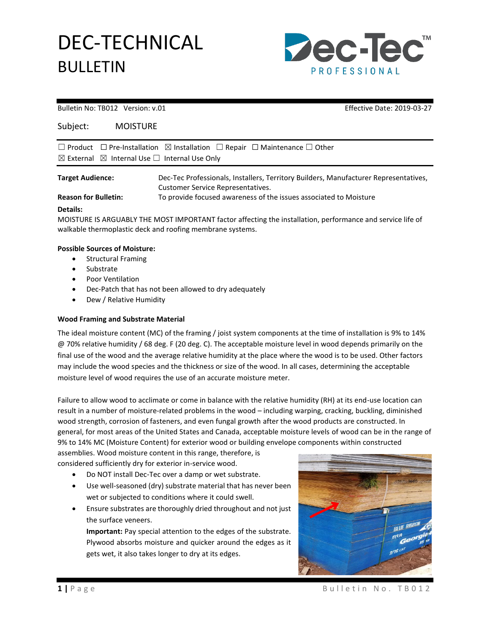# DEC-TECHNICAL BULLETIN



#### Bulletin No: TB012 Version: v.01 Effective Date: 2019-03-27

| Subject: | <b>MOISTURE</b> |
|----------|-----------------|
|          |                 |

|                         | $\Box$ Product $\Box$ Pre-Installation $\boxtimes$ Installation $\Box$ Repair $\Box$ Maintenance $\Box$ Other             |
|-------------------------|---------------------------------------------------------------------------------------------------------------------------|
|                         | $\boxtimes$ External $\boxtimes$ Internal Use $\Box$ Internal Use Only                                                    |
| <b>Target Audience:</b> | Dec-Tec Professionals, Installers, Territory Builders, Manufacturer Representatives,<br>Customer Service Representatives. |

**Reason for Bulletin:** To provide focused awareness of the issues associated to Moisture

### **Details:**

MOISTURE IS ARGUABLY THE MOST IMPORTANT factor affecting the installation, performance and service life of walkable thermoplastic deck and roofing membrane systems.

### **Possible Sources of Moisture:**

- Structural Framing
- Substrate
- Poor Ventilation
- Dec-Patch that has not been allowed to dry adequately
- Dew / Relative Humidity

## **Wood Framing and Substrate Material**

The ideal moisture content (MC) of the framing / joist system components at the time of installation is 9% to 14% @ 70% relative humidity / 68 deg. F (20 deg. C). The acceptable moisture level in wood depends primarily on the final use of the wood and the average relative humidity at the place where the wood is to be used. Other factors may include the wood species and the thickness or size of the wood. In all cases, determining the acceptable moisture level of wood requires the use of an accurate moisture meter.

Failure to allow wood to acclimate or come in balance with the relative humidity (RH) at its end-use location can result in a number of [moisture-related problems in the wood](http://www.wagnermeters.com/flooring/wood-flooring/moisture-problems/) – including warping, cracking, buckling, diminished wood strength, corrosion of fasteners, and even fungal growth after the wood products are constructed. In general, for most areas of the United States and Canada, acceptable moisture levels of wood can be in the range of 9% to 14% MC (Moisture Content) for exterior wood or building envelope components within constructed

assemblies. Wood moisture content in this range, therefore, is considered sufficiently dry for exterior in-service wood.

- Do NOT install Dec-Tec over a damp or wet substrate.
- Use well-seasoned (dry) substrate material that has never been wet or subjected to conditions where it could swell.
- Ensure substrates are thoroughly dried throughout and not just the surface veneers.

**Important:** Pay special attention to the edges of the substrate. Plywood absorbs moisture and quicker around the edges as it gets wet, it also takes longer to dry at its edges.

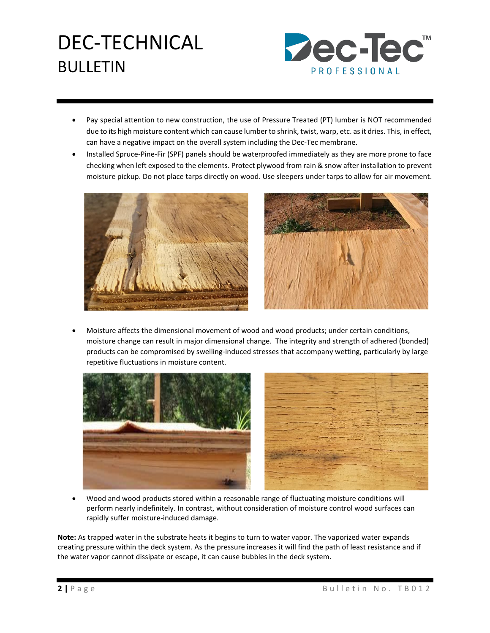# DEC-TECHNICAL BULLETIN



- Pay special attention to new construction, the use of Pressure Treated (PT) lumber is NOT recommended due to its high moisture content which can cause lumber to shrink, twist, warp, etc. as it dries. This, in effect, can have a negative impact on the overall system including the Dec-Tec membrane.
- Installed Spruce-Pine-Fir (SPF) panels should be waterproofed immediately as they are more prone to face checking when left exposed to the elements. Protect plywood from rain & snow after installation to prevent moisture pickup. Do not place tarps directly on wood. Use sleepers under tarps to allow for air movement.





• Moisture affects the dimensional movement of wood and wood products; under certain conditions, moisture change can result in major dimensional change. The integrity and strength of adhered (bonded) products can be compromised by swelling-induced stresses that accompany wetting, particularly by large repetitive fluctuations in moisture content.



• Wood and wood products stored within a reasonable range of fluctuating moisture conditions will perform nearly indefinitely. In contrast, without consideration of moisture control wood surfaces can rapidly suffer moisture-induced damage.

**Note:** As trapped water in the substrate heats it begins to turn to water vapor. The vaporized water expands creating pressure within the deck system. As the pressure increases it will find the path of least resistance and if the water vapor cannot dissipate or escape, it can cause bubbles in the deck system.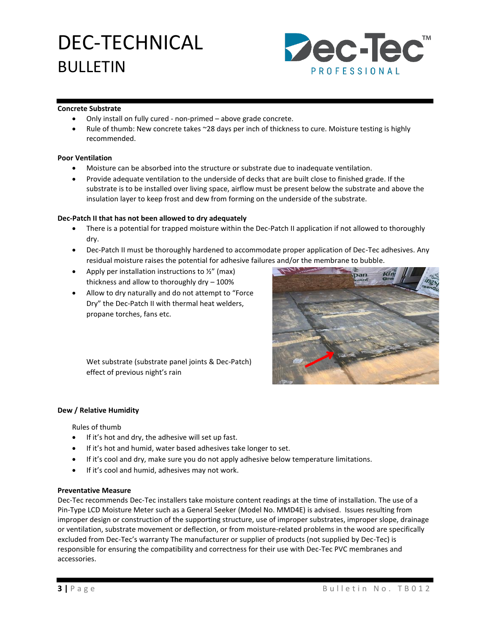# DEC-TECHNICAL BULLETIN



### **Concrete Substrate**

- Only install on fully cured non-primed above grade concrete.
- Rule of thumb: New concrete takes ~28 days per inch of thickness to cure. Moisture testing is highly recommended.

### **Poor Ventilation**

- Moisture can be absorbed into the structure or substrate due to inadequate ventilation.
- Provide adequate ventilation to the underside of decks that are built close to finished grade. If the substrate is to be installed over living space, airflow must be present below the substrate and above the insulation layer to keep frost and dew from forming on the underside of the substrate.

### **Dec-Patch II that has not been allowed to dry adequately**

- There is a potential for trapped moisture within the Dec-Patch II application if not allowed to thoroughly dry.
- Dec-Patch II must be thoroughly hardened to accommodate proper application of Dec-Tec adhesives. Any residual moisture raises the potential for adhesive failures and/or the membrane to bubble.
- Apply per installation instructions to  $\frac{1}{2}$ " (max) thickness and allow to thoroughly dry – 100%
- Allow to dry naturally and do not attempt to "Force Dry" the Dec-Patch II with thermal heat welders, propane torches, fans etc.



Wet substrate (substrate panel joints & Dec-Patch) effect of previous night's rain

### **Dew / Relative Humidity**

Rules of thumb

- If it's hot and dry, the adhesive will set up fast.
- If it's hot and humid, water based adhesives take longer to set.
- If it's cool and dry, make sure you do not apply adhesive below temperature limitations.
- If it's cool and humid, adhesives may not work.

### **Preventative Measure**

Dec-Tec recommends Dec-Tec installers take moisture content readings at the time of installation. The use of a Pin-Type LCD Moisture Meter such as a General Seeker (Model No. MMD4E) is advised. Issues resulting from improper design or construction of the supporting structure, use of improper substrates, improper slope, drainage or ventilation, substrate movement or deflection, or from moisture-related problems in the wood are specifically excluded from Dec-Tec's warranty The manufacturer or supplier of products (not supplied by Dec-Tec) is responsible for ensuring the compatibility and correctness for their use with Dec-Tec PVC membranes and accessories.